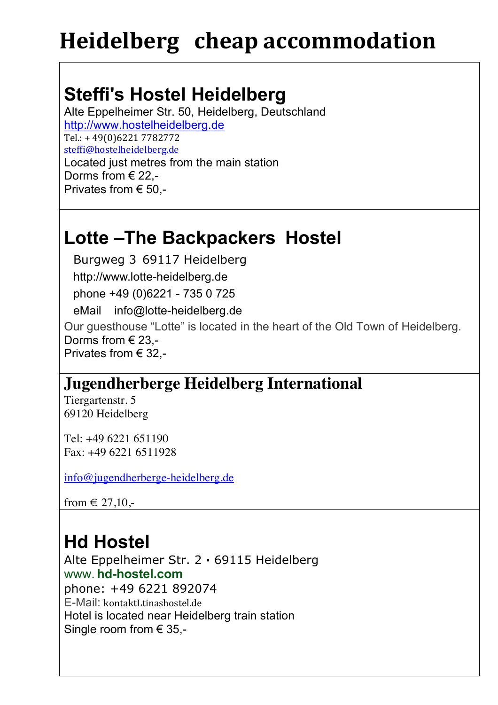# **Steffi's Hostel Heidelberg**

Alte Eppelheimer Str. 50, Heidelberg, Deutschland http://www.hostelheidelberg.de Tel.: + 49(0)6221 7782772 steffi@hostelheidelberg.de Located just metres from the main station Dorms from € 22,- Privates from € 50,-

### **Lotte –The Backpackers Hostel**

Burgweg 3 69117 Heidelberg

http://www.lotte-heidelberg.de

phone +49 (0)6221 - 735 0 725

eMail info@lotte-heidelberg.de

Our guesthouse "Lotte" is located in the heart of the Old Town of Heidelberg. Dorms from € 23,- Privates from € 32,-

#### **Jugendherberge Heidelberg International**

Tiergartenstr. 5 69120 Heidelberg

Tel: +49 6221 651190 Fax: +49 6221 6511928

info@jugendherberge-heidelberg.de

from  $\in$  27,10,-

# **Hd Hostel**

Alte Eppelheimer Str. 2 **·** 69115 Heidelberg www. **hd-hostel.com** phone: +49 6221 892074 E-Mail: kontaktLtinashostel.de Hotel is located near Heidelberg train station Single room from  $\in$  35,-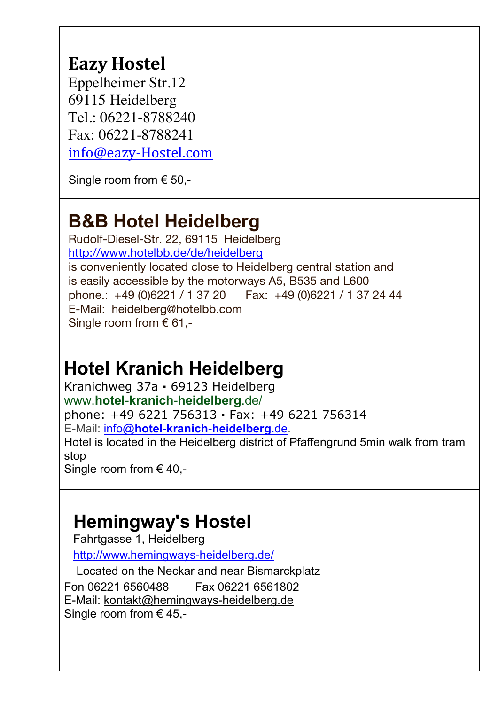#### **Eazy Hostel**

Eppelheimer Str.12 69115 Heidelberg Tel.: 06221-8788240 Fax: 06221-8788241 info@eazy-Hostel.com

Single room from € 50,-

## **B&B Hotel Heidelberg**

Rudolf-Diesel-Str. 22, 69115 Heidelberg http://www.hotelbb.de/de/heidelberg is conveniently located close to Heidelberg central station and is easily accessible by the motorways A5, B535 and L600 phone.: +49 (0)6221 / 1 37 20 Fax: +49 (0)6221 / 1 37 24 44 E-Mail: heidelberg@hotelbb.com Single room from  $\epsilon$  61,-

## **Hotel Kranich Heidelberg**

Kranichweg 37a **·** 69123 Heidelberg www.**hotel**-**kranich**-**heidelberg**.de/ phone: +49 6221 756313 **·** Fax: +49 6221 756314 E-Mail: info@**hotel**-**kranich**-**heidelberg**.de. Hotel is located in the Heidelberg district of Pfaffengrund 5min walk from tram stop

Single room from  $\in$  40,-

### **Hemingway's Hostel**

Fahrtgasse 1, Heidelberg

http://www.hemingways-heidelberg.de/

Located on the Neckar and near Bismarckplatz Fon 06221 6560488 Fax 06221 6561802 E-Mail: kontakt@hemingways-heidelberg.de Single room from  $\in$  45,-